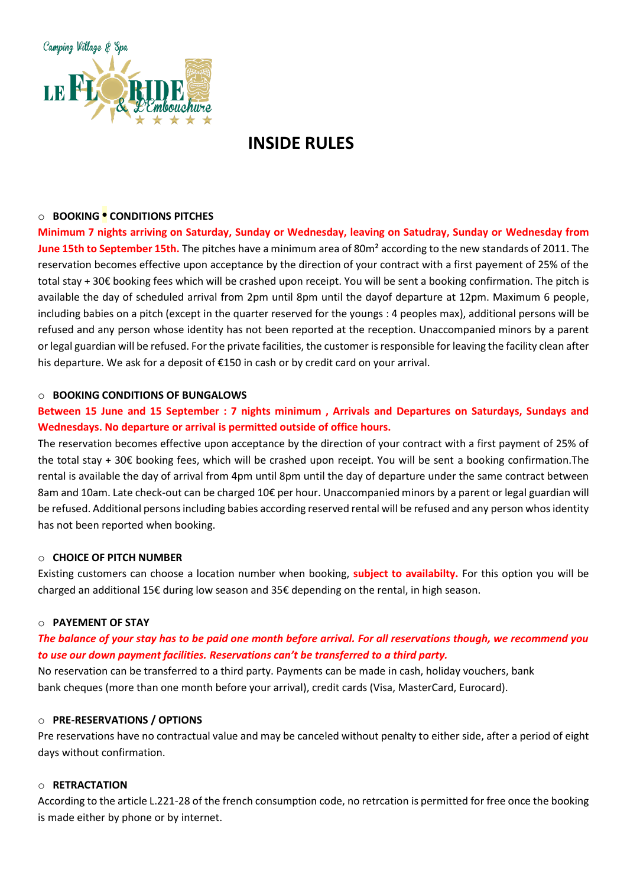

# **INSIDE RULES**

## o **BOOKING • CONDITIONS PITCHES**

**Minimum 7 nights arriving on Saturday, Sunday or Wednesday, leaving on Satudray, Sunday or Wednesday from June 15th to September 15th.** The pitches have a minimum area of 80m² according to the new standards of 2011. The reservation becomes effective upon acceptance by the direction of your contract with a first payement of 25% of the total stay + 30€ booking fees which will be crashed upon receipt. You will be sent a booking confirmation. The pitch is available the day of scheduled arrival from 2pm until 8pm until the dayof departure at 12pm. Maximum 6 people, including babies on a pitch (except in the quarter reserved for the youngs : 4 peoples max), additional persons will be refused and any person whose identity has not been reported at the reception. Unaccompanied minors by a parent or legal guardian will be refused. For the private facilities, the customer is responsible for leaving the facility clean after his departure. We ask for a deposit of €150 in cash or by credit card on your arrival.

#### o **BOOKING CONDITIONS OF BUNGALOWS**

# **Between 15 June and 15 September : 7 nights minimum , Arrivals and Departures on Saturdays, Sundays and Wednesdays. No departure or arrival is permitted outside of office hours.**

The reservation becomes effective upon acceptance by the direction of your contract with a first payment of 25% of the total stay + 30€ booking fees, which will be crashed upon receipt. You will be sent a booking confirmation.The rental is available the day of arrival from 4pm until 8pm until the day of departure under the same contract between 8am and 10am. Late check-out can be charged 10€ per hour. Unaccompanied minors by a parent or legal guardian will be refused. Additional persons including babies according reserved rental will be refused and any person whos identity has not been reported when booking.

#### o **CHOICE OF PITCH NUMBER**

Existing customers can choose a location number when booking, **subject to availabilty.** For this option you will be charged an additional 15€ during low season and 35€ depending on the rental, in high season.

#### o **PAYEMENT OF STAY**

# *The balance of your stay has to be paid one month before arrival. For all reservations though, we recommend you to use our down payment facilities. Reservations can't be transferred to a third party.*

No reservation can be transferred to a third party. Payments can be made in cash, holiday vouchers, bank bank cheques (more than one month before your arrival), credit cards (Visa, MasterCard, Eurocard).

#### o **PRE-RESERVATIONS / OPTIONS**

Pre reservations have no contractual value and may be canceled without penalty to either side, after a period of eight days without confirmation.

#### o **RETRACTATION**

According to the article L.221-28 of the french consumption code, no retrcation is permitted for free once the booking is made either by phone or by internet.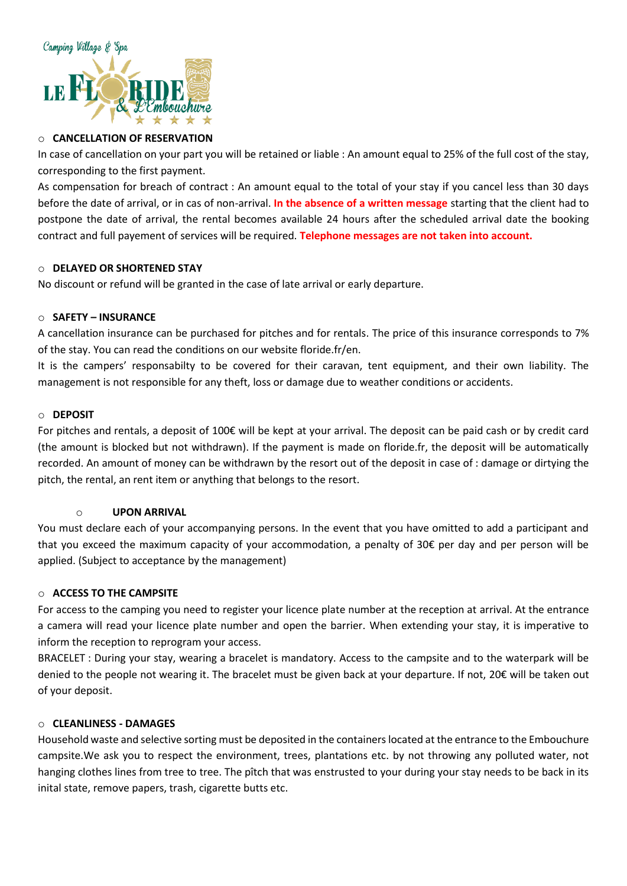

## o **CANCELLATION OF RESERVATION**

In case of cancellation on your part you will be retained or liable : An amount equal to 25% of the full cost of the stay, corresponding to the first payment.

As compensation for breach of contract : An amount equal to the total of your stay if you cancel less than 30 days before the date of arrival, or in cas of non-arrival. **In the absence of a written message** starting that the client had to postpone the date of arrival, the rental becomes available 24 hours after the scheduled arrival date the booking contract and full payement of services will be required. **Telephone messages are not taken into account.**

## o **DELAYED OR SHORTENED STAY**

No discount or refund will be granted in the case of late arrival or early departure.

## o **SAFETY – INSURANCE**

A cancellation insurance can be purchased for pitches and for rentals. The price of this insurance corresponds to 7% of the stay. You can read the conditions on our website floride.fr/en.

It is the campers' responsabilty to be covered for their caravan, tent equipment, and their own liability. The management is not responsible for any theft, loss or damage due to weather conditions or accidents.

#### o **DEPOSIT**

For pitches and rentals, a deposit of 100€ will be kept at your arrival. The deposit can be paid cash or by credit card (the amount is blocked but not withdrawn). If the payment is made on floride.fr, the deposit will be automatically recorded. An amount of money can be withdrawn by the resort out of the deposit in case of : damage or dirtying the pitch, the rental, an rent item or anything that belongs to the resort.

#### o **UPON ARRIVAL**

You must declare each of your accompanying persons. In the event that you have omitted to add a participant and that you exceed the maximum capacity of your accommodation, a penalty of 30€ per day and per person will be applied. (Subject to acceptance by the management)

## o **ACCESS TO THE CAMPSITE**

For access to the camping you need to register your licence plate number at the reception at arrival. At the entrance a camera will read your licence plate number and open the barrier. When extending your stay, it is imperative to inform the reception to reprogram your access.

BRACELET : During your stay, wearing a bracelet is mandatory. Access to the campsite and to the waterpark will be denied to the people not wearing it. The bracelet must be given back at your departure. If not, 20€ will be taken out of your deposit.

#### o **CLEANLINESS - DAMAGES**

Household waste and selective sorting must be deposited in the containers located at the entrance to the Embouchure campsite.We ask you to respect the environment, trees, plantations etc. by not throwing any polluted water, not hanging clothes lines from tree to tree. The pîtch that was enstrusted to your during your stay needs to be back in its inital state, remove papers, trash, cigarette butts etc.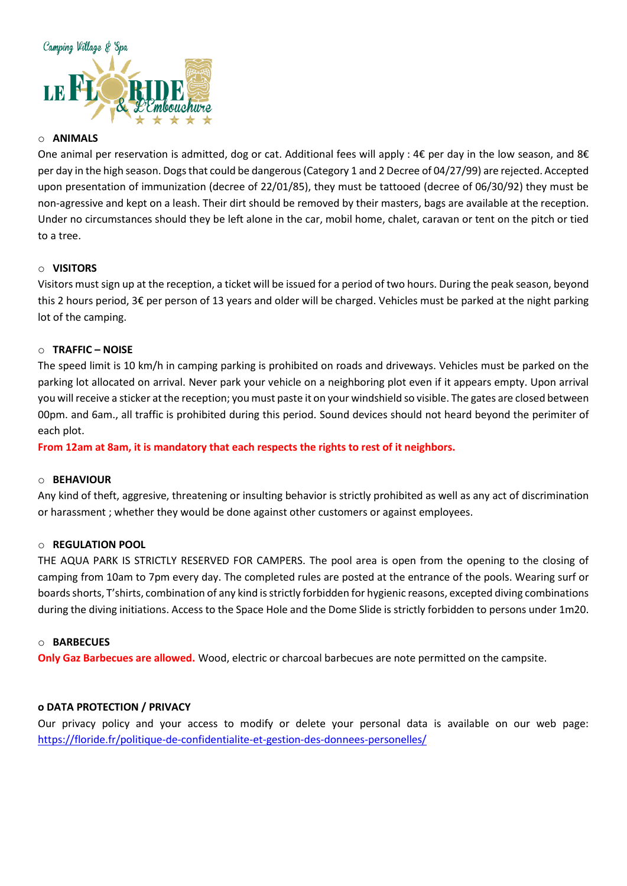

#### o **ANIMALS**

One animal per reservation is admitted, dog or cat. Additional fees will apply : 4€ per day in the low season, and 8€ per day in the high season. Dogs that could be dangerous (Category 1 and 2 Decree of 04/27/99) are rejected. Accepted upon presentation of immunization (decree of 22/01/85), they must be tattooed (decree of 06/30/92) they must be non-agressive and kept on a leash. Their dirt should be removed by their masters, bags are available at the reception. Under no circumstances should they be left alone in the car, mobil home, chalet, caravan or tent on the pitch or tied to a tree.

## o **VISITORS**

Visitors must sign up at the reception, a ticket will be issued for a period of two hours. During the peak season, beyond this 2 hours period, 3€ per person of 13 years and older will be charged. Vehicles must be parked at the night parking lot of the camping.

## o **TRAFFIC – NOISE**

The speed limit is 10 km/h in camping parking is prohibited on roads and driveways. Vehicles must be parked on the parking lot allocated on arrival. Never park your vehicle on a neighboring plot even if it appears empty. Upon arrival you will receive a sticker at the reception; you must paste it on your windshield so visible. The gates are closed between 00pm. and 6am., all traffic is prohibited during this period. Sound devices should not heard beyond the perimiter of each plot.

**From 12am at 8am, it is mandatory that each respects the rights to rest of it neighbors.**

#### o **BEHAVIOUR**

Any kind of theft, aggresive, threatening or insulting behavior is strictly prohibited as well as any act of discrimination or harassment ; whether they would be done against other customers or against employees.

#### o **REGULATION POOL**

THE AQUA PARK IS STRICTLY RESERVED FOR CAMPERS. The pool area is open from the opening to the closing of camping from 10am to 7pm every day. The completed rules are posted at the entrance of the pools. Wearing surf or boards shorts, T'shirts, combination of any kind is strictly forbidden for hygienic reasons, excepted diving combinations during the diving initiations. Access to the Space Hole and the Dome Slide is strictly forbidden to persons under 1m20.

#### o **BARBECUES**

**Only Gaz Barbecues are allowed.** Wood, electric or charcoal barbecues are note permitted on the campsite.

#### **o DATA PROTECTION / PRIVACY**

Our privacy policy and your access to modify or delete your personal data is available on our web page: <https://floride.fr/politique-de-confidentialite-et-gestion-des-donnees-personelles/>